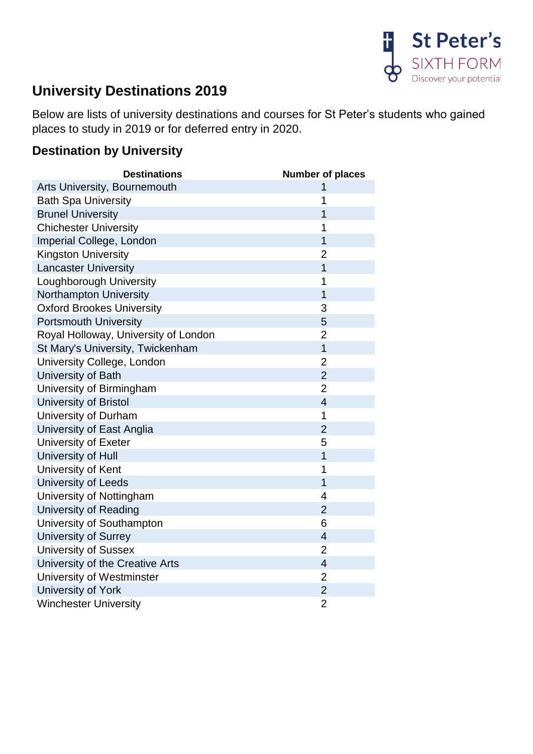

## **University Destinations 2019**

Below are lists of university destinations and courses for St Peter's students who gained places to study in 2019 or for deferred entry in 2020.

## **Destination by University**

| <b>Destinations</b>                  | <b>Number of places</b>  |
|--------------------------------------|--------------------------|
| Arts University, Bournemouth         | 1                        |
| <b>Bath Spa University</b>           | 1                        |
| <b>Brunel University</b>             | 1                        |
| <b>Chichester University</b>         | 1                        |
| Imperial College, London             | $\overline{1}$           |
| <b>Kingston University</b>           | $\overline{2}$           |
| <b>Lancaster University</b>          | $\overline{1}$           |
| Loughborough University              | 1                        |
| Northampton University               | $\overline{1}$           |
| <b>Oxford Brookes University</b>     | 3                        |
| <b>Portsmouth University</b>         | 5                        |
| Royal Holloway, University of London | $\overline{2}$           |
| St Mary's University, Twickenham     | $\overline{1}$           |
| University College, London           | $\overline{2}$           |
| University of Bath                   | $\overline{2}$           |
| University of Birmingham             | $\overline{2}$           |
| University of Bristol                | $\overline{4}$           |
| University of Durham                 | 1                        |
| University of East Anglia            | $\overline{2}$           |
| University of Exeter                 | 5                        |
| University of Hull                   | $\overline{1}$           |
| University of Kent                   | 1                        |
| University of Leeds                  | $\overline{1}$           |
| University of Nottingham             | 4                        |
| <b>University of Reading</b>         | $\overline{2}$           |
| University of Southampton            | 6                        |
| University of Surrey                 | $\overline{\mathcal{A}}$ |
| <b>University of Sussex</b>          | $\overline{2}$           |
| University of the Creative Arts      | $\overline{4}$           |
| University of Westminster            | $\overline{2}$           |
| University of York                   | $\overline{2}$           |
| <b>Winchester University</b>         | $\overline{2}$           |